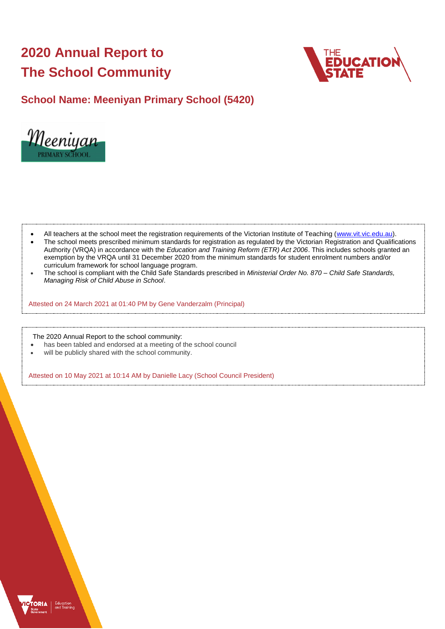# **2020 Annual Report to The School Community**



## **School Name: Meeniyan Primary School (5420)**



- All teachers at the school meet the registration requirements of the Victorian Institute of Teaching [\(www.vit.vic.edu.au\)](https://www.vit.vic.edu.au/).
- The school meets prescribed minimum standards for registration as regulated by the Victorian Registration and Qualifications Authority (VRQA) in accordance with the *Education and Training Reform (ETR) Act 2006*. This includes schools granted an exemption by the VRQA until 31 December 2020 from the minimum standards for student enrolment numbers and/or curriculum framework for school language program.
- The school is compliant with the Child Safe Standards prescribed in *Ministerial Order No. 870 – Child Safe Standards, Managing Risk of Child Abuse in School*.

Attested on 24 March 2021 at 01:40 PM by Gene Vanderzalm (Principal)

The 2020 Annual Report to the school community:

- has been tabled and endorsed at a meeting of the school council
- will be publicly shared with the school community.

Attested on 10 May 2021 at 10:14 AM by Danielle Lacy (School Council President)

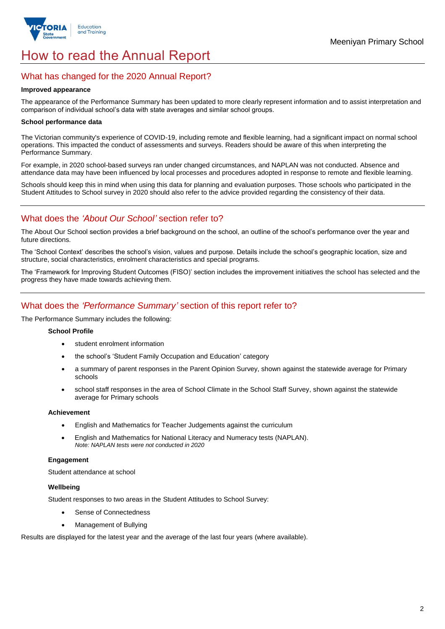

# How to read the Annual Report

## What has changed for the 2020 Annual Report?

#### **Improved appearance**

The appearance of the Performance Summary has been updated to more clearly represent information and to assist interpretation and comparison of individual school's data with state averages and similar school groups.

#### **School performance data**

The Victorian community's experience of COVID-19, including remote and flexible learning, had a significant impact on normal school operations. This impacted the conduct of assessments and surveys. Readers should be aware of this when interpreting the Performance Summary.

For example, in 2020 school-based surveys ran under changed circumstances, and NAPLAN was not conducted. Absence and attendance data may have been influenced by local processes and procedures adopted in response to remote and flexible learning.

Schools should keep this in mind when using this data for planning and evaluation purposes. Those schools who participated in the Student Attitudes to School survey in 2020 should also refer to the advice provided regarding the consistency of their data.

## What does the *'About Our School'* section refer to?

The About Our School section provides a brief background on the school, an outline of the school's performance over the year and future directions.

The 'School Context' describes the school's vision, values and purpose. Details include the school's geographic location, size and structure, social characteristics, enrolment characteristics and special programs.

The 'Framework for Improving Student Outcomes (FISO)' section includes the improvement initiatives the school has selected and the progress they have made towards achieving them.

## What does the *'Performance Summary'* section of this report refer to?

The Performance Summary includes the following:

#### **School Profile**

- student enrolment information
- the school's 'Student Family Occupation and Education' category
- a summary of parent responses in the Parent Opinion Survey, shown against the statewide average for Primary schools
- school staff responses in the area of School Climate in the School Staff Survey, shown against the statewide average for Primary schools

#### **Achievement**

- English and Mathematics for Teacher Judgements against the curriculum
- English and Mathematics for National Literacy and Numeracy tests (NAPLAN). *Note: NAPLAN tests were not conducted in 2020*

#### **Engagement**

Student attendance at school

#### **Wellbeing**

Student responses to two areas in the Student Attitudes to School Survey:

- Sense of Connectedness
- Management of Bullying

Results are displayed for the latest year and the average of the last four years (where available).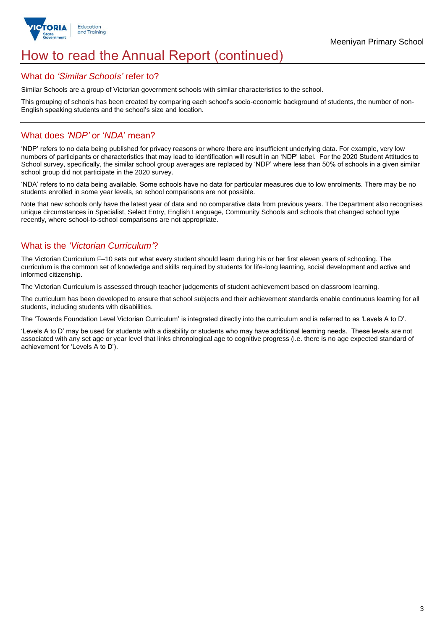

# How to read the Annual Report (continued)

### What do *'Similar Schools'* refer to?

Similar Schools are a group of Victorian government schools with similar characteristics to the school.

This grouping of schools has been created by comparing each school's socio-economic background of students, the number of non-English speaking students and the school's size and location.

## What does *'NDP'* or '*NDA*' mean?

'NDP' refers to no data being published for privacy reasons or where there are insufficient underlying data. For example, very low numbers of participants or characteristics that may lead to identification will result in an 'NDP' label. For the 2020 Student Attitudes to School survey, specifically, the similar school group averages are replaced by 'NDP' where less than 50% of schools in a given similar school group did not participate in the 2020 survey.

'NDA' refers to no data being available. Some schools have no data for particular measures due to low enrolments. There may be no students enrolled in some year levels, so school comparisons are not possible.

Note that new schools only have the latest year of data and no comparative data from previous years. The Department also recognises unique circumstances in Specialist, Select Entry, English Language, Community Schools and schools that changed school type recently, where school-to-school comparisons are not appropriate.

## What is the *'Victorian Curriculum'*?

The Victorian Curriculum F–10 sets out what every student should learn during his or her first eleven years of schooling. The curriculum is the common set of knowledge and skills required by students for life-long learning, social development and active and informed citizenship.

The Victorian Curriculum is assessed through teacher judgements of student achievement based on classroom learning.

The curriculum has been developed to ensure that school subjects and their achievement standards enable continuous learning for all students, including students with disabilities.

The 'Towards Foundation Level Victorian Curriculum' is integrated directly into the curriculum and is referred to as 'Levels A to D'.

'Levels A to D' may be used for students with a disability or students who may have additional learning needs. These levels are not associated with any set age or year level that links chronological age to cognitive progress (i.e. there is no age expected standard of achievement for 'Levels A to D').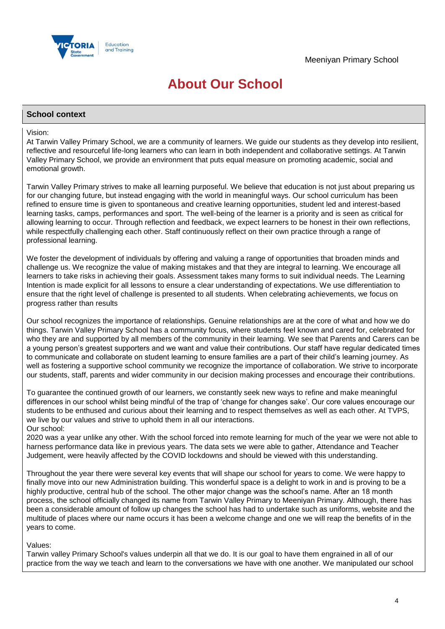

# **About Our School**

### **School context**

#### Vision:

At Tarwin Valley Primary School, we are a community of learners. We guide our students as they develop into resilient, reflective and resourceful life-long learners who can learn in both independent and collaborative settings. At Tarwin Valley Primary School, we provide an environment that puts equal measure on promoting academic, social and emotional growth.

Tarwin Valley Primary strives to make all learning purposeful. We believe that education is not just about preparing us for our changing future, but instead engaging with the world in meaningful ways. Our school curriculum has been refined to ensure time is given to spontaneous and creative learning opportunities, student led and interest-based learning tasks, camps, performances and sport. The well-being of the learner is a priority and is seen as critical for allowing learning to occur. Through reflection and feedback, we expect learners to be honest in their own reflections, while respectfully challenging each other. Staff continuously reflect on their own practice through a range of professional learning.

We foster the development of individuals by offering and valuing a range of opportunities that broaden minds and challenge us. We recognize the value of making mistakes and that they are integral to learning. We encourage all learners to take risks in achieving their goals. Assessment takes many forms to suit individual needs. The Learning Intention is made explicit for all lessons to ensure a clear understanding of expectations. We use differentiation to ensure that the right level of challenge is presented to all students. When celebrating achievements, we focus on progress rather than results

Our school recognizes the importance of relationships. Genuine relationships are at the core of what and how we do things. Tarwin Valley Primary School has a community focus, where students feel known and cared for, celebrated for who they are and supported by all members of the community in their learning. We see that Parents and Carers can be a young person's greatest supporters and we want and value their contributions. Our staff have regular dedicated times to communicate and collaborate on student learning to ensure families are a part of their child's learning journey. As well as fostering a supportive school community we recognize the importance of collaboration. We strive to incorporate our students, staff, parents and wider community in our decision making processes and encourage their contributions.

To guarantee the continued growth of our learners, we constantly seek new ways to refine and make meaningful differences in our school whilst being mindful of the trap of 'change for changes sake'. Our core values encourage our students to be enthused and curious about their learning and to respect themselves as well as each other. At TVPS, we live by our values and strive to uphold them in all our interactions. Our school:

2020 was a year unlike any other. With the school forced into remote learning for much of the year we were not able to harness performance data like in previous years. The data sets we were able to gather, Attendance and Teacher Judgement, were heavily affected by the COVID lockdowns and should be viewed with this understanding.

Throughout the year there were several key events that will shape our school for years to come. We were happy to finally move into our new Administration building. This wonderful space is a delight to work in and is proving to be a highly productive, central hub of the school. The other major change was the school's name. After an 18 month process, the school officially changed its name from Tarwin Valley Primary to Meeniyan Primary. Although, there has been a considerable amount of follow up changes the school has had to undertake such as uniforms, website and the multitude of places where our name occurs it has been a welcome change and one we will reap the benefits of in the years to come.

#### Values:

Tarwin valley Primary School's values underpin all that we do. It is our goal to have them engrained in all of our practice from the way we teach and learn to the conversations we have with one another. We manipulated our school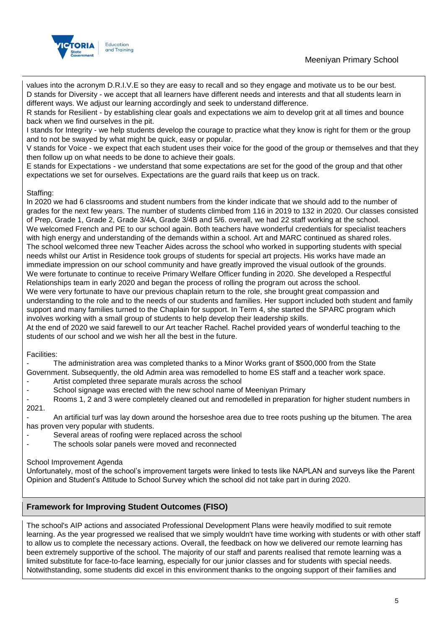## Meeniyan Primary School



values into the acronym D.R.I.V.E so they are easy to recall and so they engage and motivate us to be our best. D stands for Diversity - we accept that all learners have different needs and interests and that all students learn in different ways. We adjust our learning accordingly and seek to understand difference.

R stands for Resilient - by establishing clear goals and expectations we aim to develop grit at all times and bounce back when we find ourselves in the pit.

I stands for Integrity - we help students develop the courage to practice what they know is right for them or the group and to not be swayed by what might be quick, easy or popular.

V stands for Voice - we expect that each student uses their voice for the good of the group or themselves and that they then follow up on what needs to be done to achieve their goals.

E stands for Expectations - we understand that some expectations are set for the good of the group and that other expectations we set for ourselves. Expectations are the guard rails that keep us on track.

#### Staffing:

In 2020 we had 6 classrooms and student numbers from the kinder indicate that we should add to the number of grades for the next few years. The number of students climbed from 116 in 2019 to 132 in 2020. Our classes consisted of Prep, Grade 1, Grade 2, Grade 3/4A, Grade 3/4B and 5/6. overall, we had 22 staff working at the school. We welcomed French and PE to our school again. Both teachers have wonderful credentials for specialist teachers with high energy and understanding of the demands within a school. Art and MARC continued as shared roles. The school welcomed three new Teacher Aides across the school who worked in supporting students with special needs whilst our Artist in Residence took groups of students for special art projects. His works have made an immediate impression on our school community and have greatly improved the visual outlook of the grounds. We were fortunate to continue to receive Primary Welfare Officer funding in 2020. She developed a Respectful Relationships team in early 2020 and began the process of rolling the program out across the school. We were very fortunate to have our previous chaplain return to the role, she brought great compassion and understanding to the role and to the needs of our students and families. Her support included both student and family support and many families turned to the Chaplain for support. In Term 4, she started the SPARC program which involves working with a small group of students to help develop their leadership skills.

At the end of 2020 we said farewell to our Art teacher Rachel. Rachel provided years of wonderful teaching to the students of our school and we wish her all the best in the future.

#### Facilities:

The administration area was completed thanks to a Minor Works grant of \$500,000 from the State

Government. Subsequently, the old Admin area was remodelled to home ES staff and a teacher work space.

- Artist completed three separate murals across the school
- School signage was erected with the new school name of Meeniyan Primary

Rooms 1, 2 and 3 were completely cleaned out and remodelled in preparation for higher student numbers in 2021.

- An artificial turf was lay down around the horseshoe area due to tree roots pushing up the bitumen. The area has proven very popular with students.

- Several areas of roofing were replaced across the school
- The schools solar panels were moved and reconnected

#### School Improvement Agenda

Unfortunately, most of the school's improvement targets were linked to tests like NAPLAN and surveys like the Parent Opinion and Student's Attitude to School Survey which the school did not take part in during 2020.

## **Framework for Improving Student Outcomes (FISO)**

The school's AIP actions and associated Professional Development Plans were heavily modified to suit remote learning. As the year progressed we realised that we simply wouldn't have time working with students or with other staff to allow us to complete the necessary actions. Overall, the feedback on how we delivered our remote learning has been extremely supportive of the school. The majority of our staff and parents realised that remote learning was a limited substitute for face-to-face learning, especially for our junior classes and for students with special needs. Notwithstanding, some students did excel in this environment thanks to the ongoing support of their families and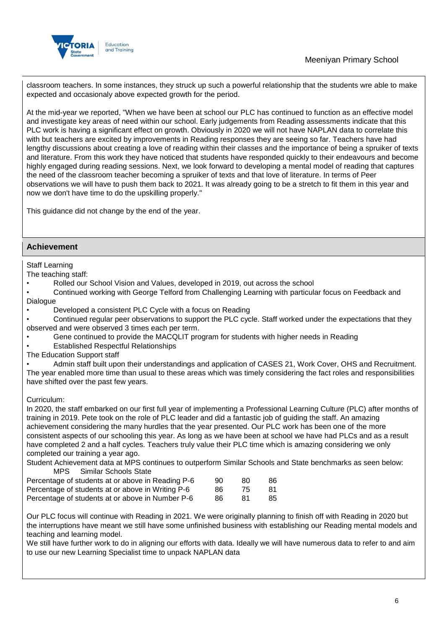

classroom teachers. In some instances, they struck up such a powerful relationship that the students wre able to make expected and occasionaly above expected growth for the period.

At the mid-year we reported, "When we have been at school our PLC has continued to function as an effective model and investigate key areas of need within our school. Early judgements from Reading assessments indicate that this PLC work is having a significant effect on growth. Obviously in 2020 we will not have NAPLAN data to correlate this with but teachers are excited by improvements in Reading responses they are seeing so far. Teachers have had lengthy discussions about creating a love of reading within their classes and the importance of being a spruiker of texts and literature. From this work they have noticed that students have responded quickly to their endeavours and become highly engaged during reading sessions. Next, we look forward to developing a mental model of reading that captures the need of the classroom teacher becoming a spruiker of texts and that love of literature. In terms of Peer observations we will have to push them back to 2021. It was already going to be a stretch to fit them in this year and now we don't have time to do the upskilling properly."

This guidance did not change by the end of the year.

#### **Achievement**

### Staff Learning

The teaching staff:

- Rolled our School Vision and Values, developed in 2019, out across the school
- Continued working with George Telford from Challenging Learning with particular focus on Feedback and Dialogue
- Developed a consistent PLC Cycle with a focus on Reading
- Continued regular peer observations to support the PLC cycle. Staff worked under the expectations that they observed and were observed 3 times each per term.
- Gene continued to provide the MACQLIT program for students with higher needs in Reading
- Established Respectful Relationships
- The Education Support staff

• Admin staff built upon their understandings and application of CASES 21, Work Cover, OHS and Recruitment. The year enabled more time than usual to these areas which was timely considering the fact roles and responsibilities have shifted over the past few years.

#### Curriculum:

In 2020, the staff embarked on our first full year of implementing a Professional Learning Culture (PLC) after months of training in 2019. Pete took on the role of PLC leader and did a fantastic job of guiding the staff. An amazing achievement considering the many hurdles that the year presented. Our PLC work has been one of the more consistent aspects of our schooling this year. As long as we have been at school we have had PLCs and as a result have completed 2 and a half cycles. Teachers truly value their PLC time which is amazing considering we only completed our training a year ago.

Student Achievement data at MPS continues to outperform Similar Schools and State benchmarks as seen below: MPS Similar Schools State

| Percentage of students at or above in Reading P-6 | 90 | 80 | 86 |
|---------------------------------------------------|----|----|----|
| Percentage of students at or above in Writing P-6 | 86 | 75 | 81 |
| Percentage of students at or above in Number P-6  | 86 | 81 | 85 |

Our PLC focus will continue with Reading in 2021. We were originally planning to finish off with Reading in 2020 but the interruptions have meant we still have some unfinished business with establishing our Reading mental models and teaching and learning model.

We still have further work to do in aligning our efforts with data. Ideally we will have numerous data to refer to and aim to use our new Learning Specialist time to unpack NAPLAN data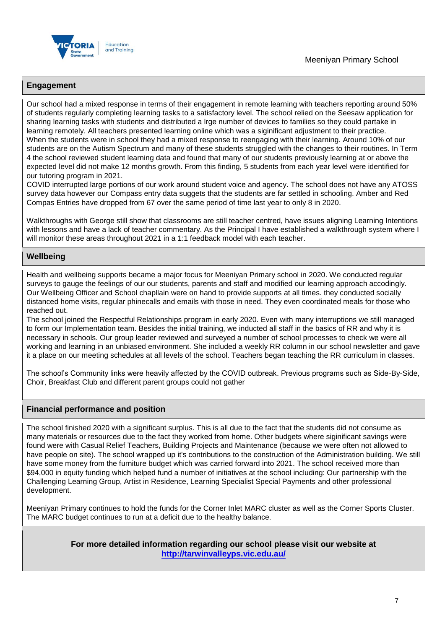



### **Engagement**

Our school had a mixed response in terms of their engagement in remote learning with teachers reporting around 50% of students regularly completing learning tasks to a satisfactory level. The school relied on the Seesaw application for sharing learning tasks with students and distributed a lrge number of devices to families so they could partake in learning remotely. All teachers presented learning online which was a siginificant adjustment to their practice. When the students were in school they had a mixed response to reengaging with their learning. Around 10% of our students are on the Autism Spectrum and many of these students struggled with the changes to their routines. In Term 4 the school reviewed student learning data and found that many of our students previously learning at or above the expected level did not make 12 months growth. From this finding, 5 students from each year level were identified for our tutoring program in 2021.

COVID interrupted large portions of our work around student voice and agency. The school does not have any ATOSS survey data however our Compass entry data suggets that the students are far settled in schooling. Amber and Red Compas Entries have dropped from 67 over the same period of time last year to only 8 in 2020.

Walkthroughs with George still show that classrooms are still teacher centred, have issues aligning Learning Intentions with lessons and have a lack of teacher commentary. As the Principal I have established a walkthrough system where I will monitor these areas throughout 2021 in a 1:1 feedback model with each teacher.

### **Wellbeing**

Health and wellbeing supports became a major focus for Meeniyan Primary school in 2020. We conducted regular surveys to gauge the feelings of our our students, parents and staff and modified our learning approach accodingly. Our Wellbeing Officer and School chapllain were on hand to provide supports at all times. they conducted socially distanced home visits, regular phinecalls and emails with those in need. They even coordinated meals for those who reached out.

The school joined the Respectful Relationships program in early 2020. Even with many interruptions we still managed to form our Implementation team. Besides the initial training, we inducted all staff in the basics of RR and why it is necessary in schools. Our group leader reviewed and surveyed a number of school processes to check we were all working and learning in an unbiased environment. She included a weekly RR column in our school newsletter and gave it a place on our meeting schedules at all levels of the school. Teachers began teaching the RR curriculum in classes.

The school's Community links were heavily affected by the COVID outbreak. Previous programs such as Side-By-Side, Choir, Breakfast Club and different parent groups could not gather

#### **Financial performance and position**

The school finished 2020 with a significant surplus. This is all due to the fact that the students did not consume as many materials or resources due to the fact they worked from home. Other budgets where siginificant savings were found were with Casual Relief Teachers, Building Projects and Maintenance (because we were often not allowed to have people on site). The school wrapped up it's contributions to the construction of the Administration building. We still have some money from the furniture budget which was carried forward into 2021. The school received more than \$94,000 in equity funding which helped fund a number of initiatives at the school including: Our partnership with the Challenging Learning Group, Artist in Residence, Learning Specialist Special Payments and other professional development.

Meeniyan Primary continues to hold the funds for the Corner Inlet MARC cluster as well as the Corner Sports Cluster. The MARC budget continues to run at a deficit due to the healthy balance.

### **For more detailed information regarding our school please visit our website at <http://tarwinvalleyps.vic.edu.au/>**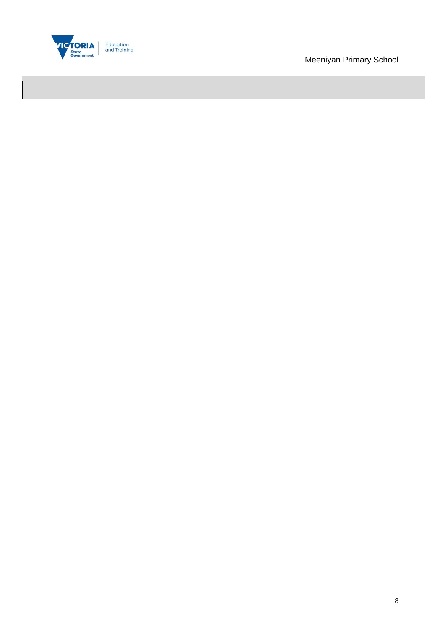

Meeniyan Primary School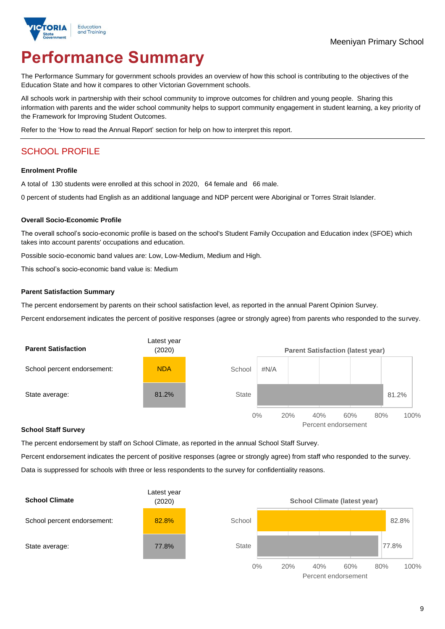

# **Performance Summary**

The Performance Summary for government schools provides an overview of how this school is contributing to the objectives of the Education State and how it compares to other Victorian Government schools.

All schools work in partnership with their school community to improve outcomes for children and young people. Sharing this information with parents and the wider school community helps to support community engagement in student learning, a key priority of the Framework for Improving Student Outcomes.

Refer to the 'How to read the Annual Report' section for help on how to interpret this report.

## SCHOOL PROFILE

#### **Enrolment Profile**

A total of 130 students were enrolled at this school in 2020, 64 female and 66 male.

0 percent of students had English as an additional language and NDP percent were Aboriginal or Torres Strait Islander.

#### **Overall Socio-Economic Profile**

The overall school's socio-economic profile is based on the school's Student Family Occupation and Education index (SFOE) which takes into account parents' occupations and education.

Possible socio-economic band values are: Low, Low-Medium, Medium and High.

This school's socio-economic band value is: Medium

#### **Parent Satisfaction Summary**

The percent endorsement by parents on their school satisfaction level, as reported in the annual Parent Opinion Survey.

Percent endorsement indicates the percent of positive responses (agree or strongly agree) from parents who responded to the survey.



#### **School Staff Survey**

The percent endorsement by staff on School Climate, as reported in the annual School Staff Survey.

Percent endorsement indicates the percent of positive responses (agree or strongly agree) from staff who responded to the survey. Data is suppressed for schools with three or less respondents to the survey for confidentiality reasons.



Percent endorsement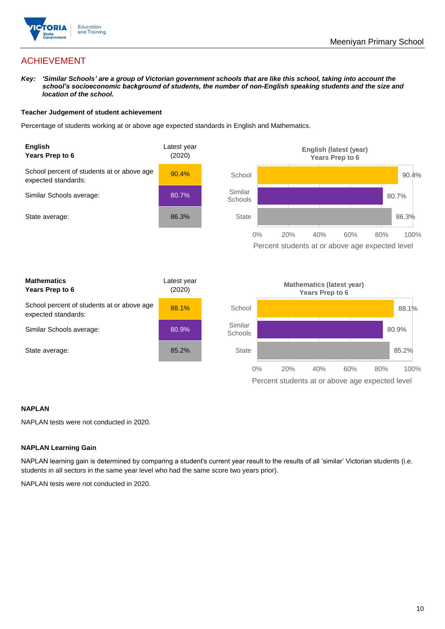

## ACHIEVEMENT

*Key: 'Similar Schools' are a group of Victorian government schools that are like this school, taking into account the school's socioeconomic background of students, the number of non-English speaking students and the size and location of the school.*

#### **Teacher Judgement of student achievement**

Percentage of students working at or above age expected standards in English and Mathematics.



#### **NAPLAN**

NAPLAN tests were not conducted in 2020.

#### **NAPLAN Learning Gain**

NAPLAN learning gain is determined by comparing a student's current year result to the results of all 'similar' Victorian students (i.e. students in all sectors in the same year level who had the same score two years prior).

NAPLAN tests were not conducted in 2020.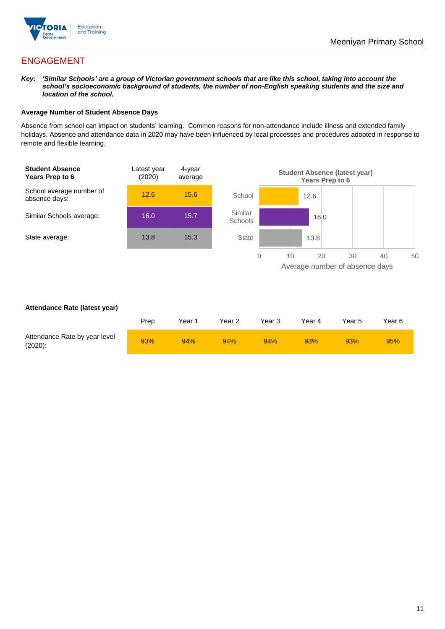

## ENGAGEMENT

*Key: 'Similar Schools' are a group of Victorian government schools that are like this school, taking into account the school's socioeconomic background of students, the number of non-English speaking students and the size and location of the school.*

#### **Average Number of Student Absence Days**

Absence from school can impact on students' learning. Common reasons for non-attendance include illness and extended family holidays. Absence and attendance data in 2020 may have been influenced by local processes and procedures adopted in response to remote and flexible learning.



#### **Attendance Rate (latest year)**

|                                             | Prep | Year 1 | Year 2 | Year 3 | Year 4 | Year 5 | Year 6 |
|---------------------------------------------|------|--------|--------|--------|--------|--------|--------|
| Attendance Rate by year level<br>$(2020)$ : | 93%  | 94%    | 94%    | 94%    | 93%    | 93%    | 95%    |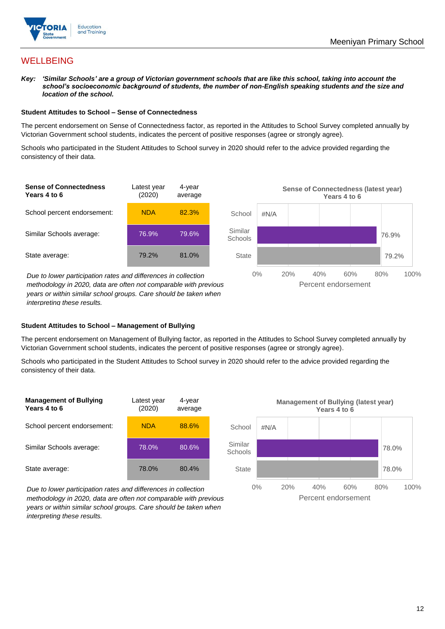

## **WELLBEING**

*Key: 'Similar Schools' are a group of Victorian government schools that are like this school, taking into account the school's socioeconomic background of students, the number of non-English speaking students and the size and location of the school.*

#### **Student Attitudes to School – Sense of Connectedness**

The percent endorsement on Sense of Connectedness factor, as reported in the Attitudes to School Survey completed annually by Victorian Government school students, indicates the percent of positive responses (agree or strongly agree).

Schools who participated in the Student Attitudes to School survey in 2020 should refer to the advice provided regarding the consistency of their data.



*methodology in 2020, data are often not comparable with previous years or within similar school groups. Care should be taken when interpreting these results.*

#### **Student Attitudes to School – Management of Bullying**

The percent endorsement on Management of Bullying factor, as reported in the Attitudes to School Survey completed annually by Victorian Government school students, indicates the percent of positive responses (agree or strongly agree).

Schools who participated in the Student Attitudes to School survey in 2020 should refer to the advice provided regarding the consistency of their data.



*Due to lower participation rates and differences in collection methodology in 2020, data are often not comparable with previous years or within similar school groups. Care should be taken when interpreting these results.*

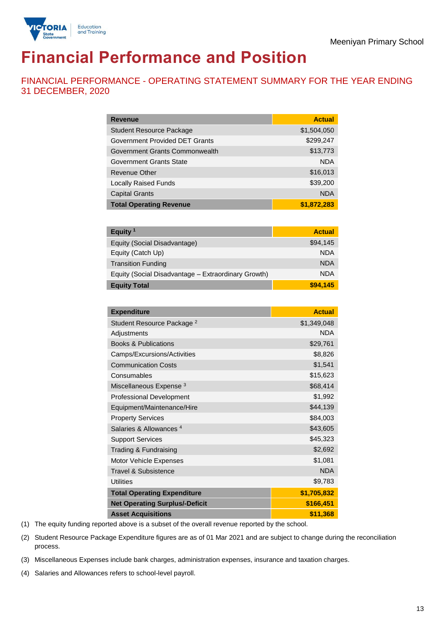

# **Financial Performance and Position**

FINANCIAL PERFORMANCE - OPERATING STATEMENT SUMMARY FOR THE YEAR ENDING 31 DECEMBER, 2020

| <b>Revenue</b>                  | <b>Actual</b> |
|---------------------------------|---------------|
| <b>Student Resource Package</b> | \$1,504,050   |
| Government Provided DET Grants  | \$299,247     |
| Government Grants Commonwealth  | \$13,773      |
| Government Grants State         | <b>NDA</b>    |
| <b>Revenue Other</b>            | \$16,013      |
| <b>Locally Raised Funds</b>     | \$39,200      |
| <b>Capital Grants</b>           | <b>NDA</b>    |
| <b>Total Operating Revenue</b>  | \$1,872,283   |

| Equity <sup>1</sup>                                 | <b>Actual</b> |
|-----------------------------------------------------|---------------|
| Equity (Social Disadvantage)                        | \$94,145      |
| Equity (Catch Up)                                   | <b>NDA</b>    |
| <b>Transition Funding</b>                           | <b>NDA</b>    |
| Equity (Social Disadvantage - Extraordinary Growth) | <b>NDA</b>    |
| <b>Equity Total</b>                                 | \$94,145      |

| <b>Expenditure</b>                    | <b>Actual</b> |
|---------------------------------------|---------------|
| Student Resource Package <sup>2</sup> | \$1,349,048   |
| Adjustments                           | <b>NDA</b>    |
| <b>Books &amp; Publications</b>       | \$29,761      |
| Camps/Excursions/Activities           | \$8,826       |
| <b>Communication Costs</b>            | \$1,541       |
| Consumables                           | \$15,623      |
| Miscellaneous Expense <sup>3</sup>    | \$68,414      |
| <b>Professional Development</b>       | \$1,992       |
| Equipment/Maintenance/Hire            | \$44,139      |
| <b>Property Services</b>              | \$84,003      |
| Salaries & Allowances <sup>4</sup>    | \$43,605      |
| <b>Support Services</b>               | \$45,323      |
| Trading & Fundraising                 | \$2,692       |
| Motor Vehicle Expenses                | \$1,081       |
| Travel & Subsistence                  | <b>NDA</b>    |
| <b>Utilities</b>                      | \$9,783       |
| <b>Total Operating Expenditure</b>    | \$1,705,832   |
| <b>Net Operating Surplus/-Deficit</b> | \$166,451     |
| <b>Asset Acquisitions</b>             | \$11,368      |

(1) The equity funding reported above is a subset of the overall revenue reported by the school.

(2) Student Resource Package Expenditure figures are as of 01 Mar 2021 and are subject to change during the reconciliation process.

(3) Miscellaneous Expenses include bank charges, administration expenses, insurance and taxation charges.

(4) Salaries and Allowances refers to school-level payroll.